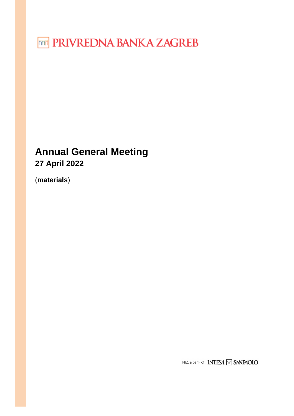**TED PRIVREDNA BANKA ZAGREB** 

# **Annual General Meeting 27 April 2022**

(**materials**)

PBZ, a bank of **INTESA** m SANPAOLO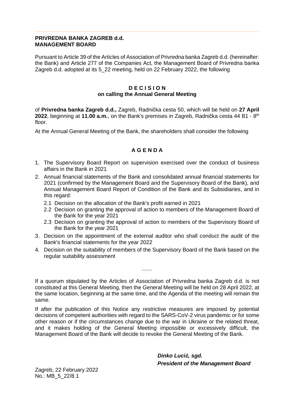## **PRIVREDNA BANKA ZAGREB d.d. MANAGEMENT BOARD**

Pursuant to Article 39 of the Articles of Association of Privredna banka Zagreb d.d. (hereinafter: the Bank) and Article 277 of the Companies Act, the Management Board of Privredna banka Zagreb d.d. adopted at its 5\_22 meeting, held on 22 February 2022, the following

## **D E C I S I O N on calling the Annual General Meeting**

of **Privredna banka Zagreb d.d.,** Zagreb, Radnička cesta 50, which will be held on **27 April 2022**, beginning at **11.00 a.m.**, on the Bank's premises in Zagreb, Radnička cesta 44 B1 - 8th floor.

At the Annual General Meeting of the Bank, the shareholders shall consider the following

# **A G E N D A**

- 1. The Supervisory Board Report on supervision exercised over the conduct of business affairs in the Bank in 2021
- 2. Annual financial statements of the Bank and consolidated annual financial statements for 2021 (confirmed by the Management Board and the Supervisory Board of the Bank), and Annual Management Board Report of Condition of the Bank and its Subsidiaries, and in this regard:
	- 2.1 Decision on the allocation of the Bank's profit earned in 2021
	- 2.2 Decision on granting the approval of action to members of the Management Board of the Bank for the year 2021
	- 2.3 Decision on granting the approval of action to members of the Supervisory Board of the Bank for the year 2021
- 3. Decision on the appointment of the external auditor who shall conduct the audit of the Bank's financial statements for the year 2022
- 4. Decision on the suitability of members of the Supervisory Board of the Bank based on the regular suitability assessment

.......

If a quorum stipulated by the Articles of Association of Privredna banka Zagreb d.d. is not constituted at this General Meeting, then the General Meeting will be held on 28 April 2022, at the same location, beginning at the same time, and the Agenda of the meeting will remain the same.

If after the publication of this Notice any restrictive measures are imposed by potential decisions of competent authorities with regard to the SARS-CoV-2 virus pandemic or for some other reason or if the circumstances change due to the war in Ukraine or the related threat, and it makes holding of the General Meeting impossible or excessively difficult, the Management Board of the Bank will decide to revoke the General Meeting of the Bank.

> **Dinko Luci***ć***, sgd. President of the Management Board**

Zagreb, 22 February 2022 No.: MB\_5\_22/8.1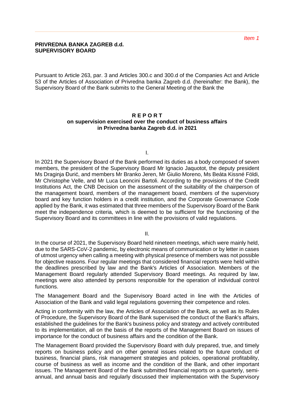#### **PRIVREDNA BANKA ZAGREB d.d. SUPERVISORY BOARD**

Pursuant to Article 263, par. 3 and Articles 300.c and 300.d of the Companies Act and Article 53 of the Articles of Association of Privredna banka Zagreb d.d. (hereinafter: the Bank), the Supervisory Board of the Bank submits to the General Meeting of the Bank the

#### **R E P O R T on supervision exercised over the conduct of business affairs in Privredna banka Zagreb d.d. in 2021**

I.

In 2021 the Supervisory Board of the Bank performed its duties as a body composed of seven members, the president of the Supervisory Board Mr Ignacio Jaquotot, the deputy president Ms Draginja Đurić, and members Mr Branko Jeren, Mr Giulio Moreno, Ms Beáta Kissné Földi, Mr Christophe Velle, and Mr Luca Leoncini Bartoli. According to the provisions of the Credit Institutions Act, the CNB Decision on the assessment of the suitability of the chairperson of the management board, members of the management board, members of the supervisory board and key function holders in a credit institution, and the Corporate Governance Code applied by the Bank, it was estimated that three members of the Supervisory Board of the Bank meet the independence criteria, which is deemed to be sufficient for the functioning of the Supervisory Board and its committees in line with the provisions of valid regulations.

II.

In the course of 2021, the Supervisory Board held nineteen meetings, which were mainly held, due to the SARS-CoV-2 pandemic, by electronic means of communication or by letter in cases of utmost urgency when calling a meeting with physical presence of members was not possible for objective reasons. Four regular meetings that considered financial reports were held within the deadlines prescribed by law and the Bank's Articles of Association. Members of the Management Board regularly attended Supervisory Board meetings. As required by law, meetings were also attended by persons responsible for the operation of individual control functions.

The Management Board and the Supervisory Board acted in line with the Articles of Association of the Bank and valid legal regulations governing their competence and roles.

Acting in conformity with the law, the Articles of Association of the Bank, as well as its Rules of Procedure, the Supervisory Board of the Bank supervised the conduct of the Bank's affairs, established the guidelines for the Bank's business policy and strategy and actively contributed to its implementation, all on the basis of the reports of the Management Board on issues of importance for the conduct of business affairs and the condition of the Bank.

The Management Board provided the Supervisory Board with duly prepared, true, and timely reports on business policy and on other general issues related to the future conduct of business, financial plans, risk management strategies and policies, operational profitability, course of business as well as income and the condition of the Bank, and other important issues. The Management Board of the Bank submitted financial reports on a quarterly, semiannual, and annual basis and regularly discussed their implementation with the Supervisory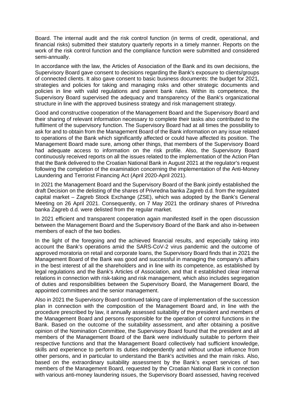Board. The internal audit and the risk control function (in terms of credit, operational, and financial risks) submitted their statutory quarterly reports in a timely manner. Reports on the work of the risk control function and the compliance function were submitted and considered semi-annually.

In accordance with the law, the Articles of Association of the Bank and its own decisions, the Supervisory Board gave consent to decisions regarding the Bank's exposure to clients/groups of connected clients. It also gave consent to basic business documents: the budget for 2021, strategies and policies for taking and managing risks and other strategic documents and policies in line with valid regulations and parent bank rules. Within its competence, the Supervisory Board supervised the adequacy and transparency of the Bank's organizational structure in line with the approved business strategy and risk management strategy.

Good and constructive cooperation of the Management Board and the Supervisory Board and their sharing of relevant information necessary to complete their tasks also contributed to the fulfilment of the supervisory function. The Supervisory Board had at all times the possibility to ask for and to obtain from the Management Board of the Bank information on any issue related to operations of the Bank which significantly affected or could have affected its position. The Management Board made sure, among other things, that members of the Supervisory Board had adequate access to information on the risk profile. Also, the Supervisory Board continuously received reports on all the issues related to the implementation of the Action Plan that the Bank delivered to the Croatian National Bank in August 2021 at the regulator's request following the completion of the examination concerning the implementation of the Anti-Money Laundering and Terrorist Financing Act (April 2020-April 2021).

In 2021 the Management Board and the Supervisory Board of the Bank jointly established the draft Decision on the delisting of the shares of Privredna banka Zagreb d.d. from the regulated capital market – Zagreb Stock Exchange (ZSE), which was adopted by the Bank's General Meeting on 26 April 2021. Consequently, on 7 May 2021 the ordinary shares of Privredna banka Zagreb d.d. were delisted from the regular market.

In 2021 efficient and transparent cooperation again manifested itself in the open discussion between the Management Board and the Supervisory Board of the Bank and also in-between members of each of the two bodies.

In the light of the foregoing and the achieved financial results, and especially taking into account the Bank's operations amid the SARS-CoV-2 virus pandemic and the outcome of approved moratoria on retail and corporate loans, the Supervisory Board finds that in 2021 the Management Board of the Bank was good and successful in managing the company's affairs in the best interest of all the shareholders and in line with its competence, as established by legal regulations and the Bank's Articles of Association, and that it established clear internal relations in connection with risk-taking and risk management, which also includes segregation of duties and responsibilities between the Supervisory Board, the Management Board, the appointed committees and the senior management.

Also in 2021 the Supervisory Board continued taking care of implementation of the succession plan in connection with the composition of the Management Board and, in line with the procedure prescribed by law, it annually assessed suitability of the president and members of the Management Board and persons responsible for the operation of control functions in the Bank. Based on the outcome of the suitability assessment, and after obtaining a positive opinion of the Nomination Committee, the Supervisory Board found that the president and all members of the Management Board of the Bank were individually suitable to perform their respective functions and that the Management Board collectively had sufficient knowledge, skills and experience to perform its duties independently and without undue influence from other persons, and in particular to understand the Bank's activities and the main risks. Also, based on the extraordinary suitability assessment by the Bank's expert services of two members of the Management Board, requested by the Croatian National Bank in connection with various anti-money laundering issues, the Supervisory Board assessed, having received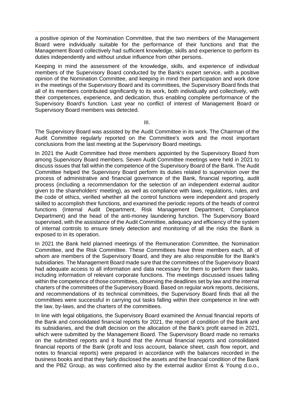a positive opinion of the Nomination Committee, that the two members of the Management Board were individually suitable for the performance of their functions and that the Management Board collectively had sufficient knowledge, skills and experience to perform its duties independently and without undue influence from other persons.

Keeping in mind the assessment of the knowledge, skills, and experience of individual members of the Supervisory Board conducted by the Bank's expert service, with a positive opinion of the Nomination Committee, and keeping in mind their participation and work done in the meetings of the Supervisory Board and its committees, the Supervisory Board finds that all of its members contributed significantly to its work, both individually and collectively, with their competences, experience, and dedication, thus enabling complete performance of the Supervisory Board's function. Last year no conflict of interest of Management Board or Supervisory Board members was detected.

III.

The Supervisory Board was assisted by the Audit Committee in its work. The Chairman of the Audit Committee regularly reported on the Committee's work and the most important conclusions from the last meeting at the Supervisory Board meetings.

In 2021 the Audit Committee had three members appointed by the Supervisory Board from among Supervisory Board members. Seven Audit Committee meetings were held in 2021 to discuss issues that fall within the competence of the Supervisory Board of the Bank. The Audit Committee helped the Supervisory Board perform its duties related to supervision over the process of administrative and financial governance of the Bank, financial reporting, audit process (including a recommendation for the selection of an independent external auditor given to the shareholders' meeting), as well as compliance with laws, regulations, rules, and the code of ethics, verified whether all the control functions were independent and properly skilled to accomplish their functions, and examined the periodic reports of the heads of control functions (Internal Audit Department, Risk Management Department, Compliance Department) and the head of the anti-money laundering function. The Supervisory Board supervised, with the assistance of the Audit Committee, adequacy and efficiency of the system of internal controls to ensure timely detection and monitoring of all the risks the Bank is exposed to in its operation.

In 2021 the Bank held planned meetings of the Remuneration Committee, the Nomination Committee, and the Risk Committee. These Committees have three members each, all of whom are members of the Supervisory Board, and they are also responsible for the Bank's subsidiaries. The Management Board made sure that the committees of the Supervisory Board had adequate access to all information and data necessary for them to perform their tasks, including information of relevant corporate functions. The meetings discussed issues falling within the competence of those committees, observing the deadlines set by law and the internal charters of the committees of the Supervisory Board. Based on regular work reports, decisions, and recommendations of its technical committees, the Supervisory Board finds that all the committees were successful in carrying out tasks falling within their competence in line with the law, by-laws, and the charters of the committees.

In line with legal obligations, the Supervisory Board examined the Annual financial reports of the Bank and consolidated financial reports for 2021, the report of condition of the Bank and its subsidiaries, and the draft decision on the allocation of the Bank's profit earned in 2021, which were submitted by the Management Board. The Supervisory Board made no remarks on the submitted reports and it found that the Annual financial reports and consolidated financial reports of the Bank (profit and loss account, balance sheet, cash flow report, and notes to financial reports) were prepared in accordance with the balances recorded in the business books and that they fairly disclosed the assets and the financial condition of the Bank and the PBZ Group, as was confirmed also by the external auditor Ernst & Young d.o.o.,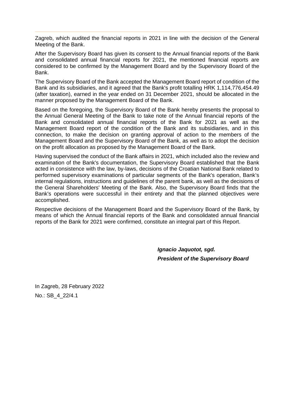Zagreb, which audited the financial reports in 2021 in line with the decision of the General Meeting of the Bank.

After the Supervisory Board has given its consent to the Annual financial reports of the Bank and consolidated annual financial reports for 2021, the mentioned financial reports are considered to be confirmed by the Management Board and by the Supervisory Board of the Bank.

The Supervisory Board of the Bank accepted the Management Board report of condition of the Bank and its subsidiaries, and it agreed that the Bank's profit totalling HRK 1,114,776,454.49 (after taxation), earned in the year ended on 31 December 2021, should be allocated in the manner proposed by the Management Board of the Bank.

Based on the foregoing, the Supervisory Board of the Bank hereby presents the proposal to the Annual General Meeting of the Bank to take note of the Annual financial reports of the Bank and consolidated annual financial reports of the Bank for 2021 as well as the Management Board report of the condition of the Bank and its subsidiaries, and in this connection, to make the decision on granting approval of action to the members of the Management Board and the Supervisory Board of the Bank, as well as to adopt the decision on the profit allocation as proposed by the Management Board of the Bank.

Having supervised the conduct of the Bank affairs in 2021, which included also the review and examination of the Bank's documentation, the Supervisory Board established that the Bank acted in consistence with the law, by-laws, decisions of the Croatian National Bank related to performed supervisory examinations of particular segments of the Bank's operation, Bank's internal regulations, instructions and guidelines of the parent bank, as well as the decisions of the General Shareholders' Meeting of the Bank. Also, the Supervisory Board finds that the Bank's operations were successful in their entirety and that the planned objectives were accomplished.

Respective decisions of the Management Board and the Supervisory Board of the Bank, by means of which the Annual financial reports of the Bank and consolidated annual financial reports of the Bank for 2021 were confirmed, constitute an integral part of this Report.

> **Ignacio Jaquotot, sgd. President of the Supervisory Board**

In Zagreb, 28 February 2022 No.: SB\_4\_22/4.1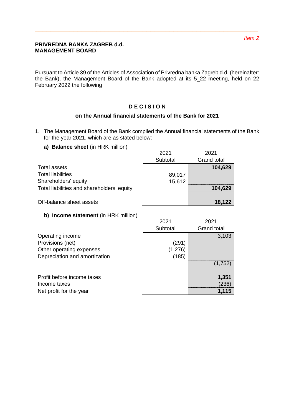## **PRIVREDNA BANKA ZAGREB d.d. MANAGEMENT BOARD**

Pursuant to Article 39 of the Articles of Association of Privredna banka Zagreb d.d. (hereinafter: the Bank), the Management Board of the Bank adopted at its 5\_22 meeting, held on 22 February 2022 the following

# **D E C I S I O N**

# **on the Annual financial statements of the Bank for 2021**

- 1. The Management Board of the Bank compiled the Annual financial statements of the Bank for the year 2021, which are as stated below:
	- **a) Balance sheet** (in HRK million)

|                                            | 2021     | 2021               |
|--------------------------------------------|----------|--------------------|
|                                            | Subtotal | <b>Grand total</b> |
| Total assets                               |          | 104,629            |
| <b>Total liabilities</b>                   | 89,017   |                    |
| Shareholders' equity                       | 15,612   |                    |
| Total liabilities and shareholders' equity |          | 104,629            |
|                                            |          |                    |
| Off-balance sheet assets                   |          | 18,122             |

# **b) Income statement** (in HRK million)

| <b>U. D. BUCOTTLE STATEFILE IT LITTLE IT IT LITTLE</b> |          |                    |
|--------------------------------------------------------|----------|--------------------|
|                                                        | 2021     | 2021               |
|                                                        | Subtotal | <b>Grand total</b> |
| Operating income                                       |          | 3,103              |
| Provisions (net)                                       | (291)    |                    |
| Other operating expenses                               | (1.276)  |                    |
| Depreciation and amortization                          | (185)    |                    |
|                                                        |          | (1,752)            |
| Profit before income taxes                             |          | 1,351              |
| Income taxes                                           |          | (236)              |
| Net profit for the year                                |          | 1,115              |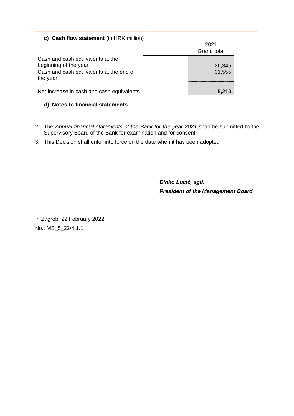# **c) Cash flow statement** (in HRK million)

|                                                                                                                  | 2021             |
|------------------------------------------------------------------------------------------------------------------|------------------|
|                                                                                                                  | Grand total      |
| Cash and cash equivalents at the<br>beginning of the year<br>Cash and cash equivalents at the end of<br>the year | 26,345<br>31,555 |
| Net increase in cash and cash equivalents                                                                        | 5,210            |

# **d) Notes to financial statements**

- 2. The Annual financial statements of the Bank for the year 2021 shall be submitted to the Supervisory Board of the Bank for examination and for consent.
- 3. This Decision shall enter into force on the date when it has been adopted.

**Dinko Luci***ć***, sgd. President of the Management Board** 

In Zagreb, 22 February 2022 No.: MB\_5\_22/4.1.1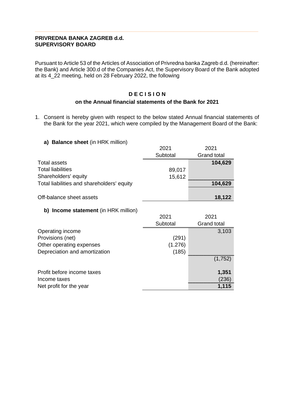# **PRIVREDNA BANKA ZAGREB d.d. SUPERVISORY BOARD**

Pursuant to Article 53 of the Articles of Association of Privredna banka Zagreb d.d. (hereinafter: the Bank) and Article 300.d of the Companies Act, the Supervisory Board of the Bank adopted at its 4\_22 meeting, held on 28 February 2022, the following

# **D E C I S I O N**

## **on the Annual financial statements of the Bank for 2021**

1. Consent is hereby given with respect to the below stated Annual financial statements of the Bank for the year 2021, which were compiled by the Management Board of the Bank:

### **a) Balance sheet** (in HRK million)

|                                            | 2021     | 2021               |
|--------------------------------------------|----------|--------------------|
|                                            | Subtotal | <b>Grand total</b> |
| Total assets                               |          | 104,629            |
| <b>Total liabilities</b>                   | 89,017   |                    |
| Shareholders' equity                       | 15,612   |                    |
| Total liabilities and shareholders' equity |          | 104,629            |
|                                            |          |                    |
| Off-balance sheet assets                   |          | 18,122             |

# **b) Income statement** (in HRK million)

| <b>UT INCOURS SLATERING IN THE STATE OF THE LIGHT</b> |          |                    |
|-------------------------------------------------------|----------|--------------------|
|                                                       | 2021     | 2021               |
|                                                       | Subtotal | <b>Grand total</b> |
| Operating income                                      |          | 3,103              |
| Provisions (net)                                      | (291)    |                    |
| Other operating expenses                              | (1.276)  |                    |
| Depreciation and amortization                         | (185)    |                    |
|                                                       |          | (1,752)            |
| Profit before income taxes                            |          | 1,351              |
| Income taxes                                          |          | (236)              |
| Net profit for the year                               |          | 1,115              |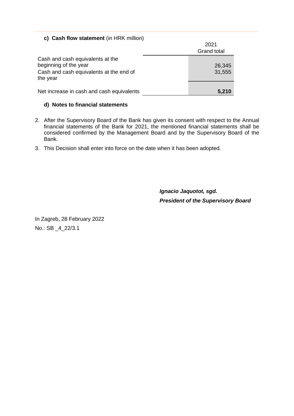# **c) Cash flow statement** (in HRK million)

|                                                                                                                  | 2021<br><b>Grand total</b> |
|------------------------------------------------------------------------------------------------------------------|----------------------------|
| Cash and cash equivalents at the<br>beginning of the year<br>Cash and cash equivalents at the end of<br>the year | 26,345<br>31,555           |
| Net increase in cash and cash equivalents                                                                        | 5,210                      |

### **d) Notes to financial statements**

- 2. After the Supervisory Board of the Bank has given its consent with respect to the Annual financial statements of the Bank for 2021, the mentioned financial statements shall be considered confirmed by the Management Board and by the Supervisory Board of the Bank.
- 3. This Decision shall enter into force on the date when it has been adopted.

**Ignacio Jaquotot, sgd. President of the Supervisory Board** 

In Zagreb, 28 February 2022 No.: SB \_4\_22/3.1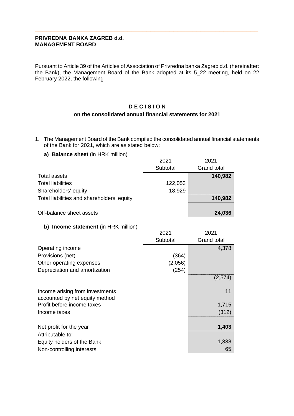## **PRIVREDNA BANKA ZAGREB d.d. MANAGEMENT BOARD**

Pursuant to Article 39 of the Articles of Association of Privredna banka Zagreb d.d. (hereinafter: the Bank), the Management Board of the Bank adopted at its 5\_22 meeting, held on 22 February 2022, the following

# **D E C I S I O N**

# **on the consolidated annual financial statements for 2021**

- 1. The Management Board of the Bank compiled the consolidated annual financial statements of the Bank for 2021, which are as stated below:
	- **a) Balance sheet** (in HRK million)

|                                            | 2021     | 2021               |
|--------------------------------------------|----------|--------------------|
|                                            | Subtotal | <b>Grand total</b> |
| <b>Total assets</b>                        |          | 140,982            |
| <b>Total liabilities</b>                   | 122,053  |                    |
| Shareholders' equity                       | 18,929   |                    |
| Total liabilities and shareholders' equity |          | 140,982            |
|                                            |          |                    |
| Off-balance sheet assets                   |          | 24,036             |

# **b) Income statement** (in HRK million)

|                                 | 2021     | 2021               |
|---------------------------------|----------|--------------------|
|                                 | Subtotal | <b>Grand total</b> |
| Operating income                |          | 4,378              |
| Provisions (net)                | (364)    |                    |
| Other operating expenses        | (2,056)  |                    |
| Depreciation and amortization   | (254)    |                    |
|                                 |          | (2,574)            |
|                                 |          |                    |
| Income arising from investments |          | 11                 |
| accounted by net equity method  |          |                    |
| Profit before income taxes      |          | 1,715              |
| Income taxes                    |          | (312)              |
| Net profit for the year         |          | 1,403              |
|                                 |          |                    |
| Attributable to:                |          |                    |
| Equity holders of the Bank      |          | 1,338              |
| Non-controlling interests       |          | 65                 |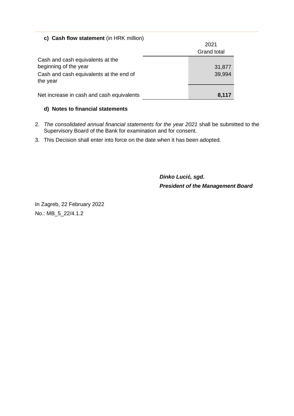# **c) Cash flow statement** (in HRK million)

|                                                                                                      | 2021<br><b>Grand total</b> |
|------------------------------------------------------------------------------------------------------|----------------------------|
| Cash and cash equivalents at the<br>beginning of the year<br>Cash and cash equivalents at the end of | 31,877<br>39,994           |
| the year<br>Net increase in cash and cash equivalents                                                | 8,117                      |

# **d) Notes to financial statements**

- 2. The consolidated annual financial statements for the year 2021 shall be submitted to the Supervisory Board of the Bank for examination and for consent.
- 3. This Decision shall enter into force on the date when it has been adopted.

**Dinko Luci***ć***, sgd. President of the Management Board** 

In Zagreb, 22 February 2022 No.: MB\_5\_22/4.1.2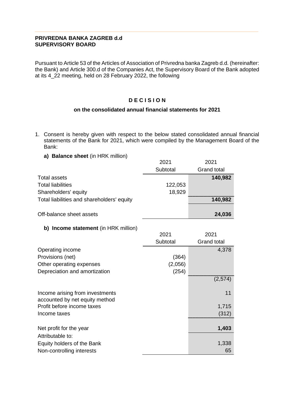## **PRIVREDNA BANKA ZAGREB d.d SUPERVISORY BOARD**

Pursuant to Article 53 of the Articles of Association of Privredna banka Zagreb d.d. (hereinafter: the Bank) and Article 300.d of the Companies Act, the Supervisory Board of the Bank adopted at its 4\_22 meeting, held on 28 February 2022, the following

# **D E C I S I O N**

# **on the consolidated annual financial statements for 2021**

- 1. Consent is hereby given with respect to the below stated consolidated annual financial statements of the Bank for 2021, which were compiled by the Management Board of the Bank:
	- **a) Balance sheet** (in HRK million)

|                                            | 2021     | 2021               |
|--------------------------------------------|----------|--------------------|
|                                            | Subtotal | <b>Grand total</b> |
| <b>Total assets</b>                        |          | 140,982            |
| <b>Total liabilities</b>                   | 122,053  |                    |
| Shareholders' equity                       | 18,929   |                    |
| Total liabilities and shareholders' equity |          | 140,982            |
|                                            |          |                    |
| Off-balance sheet assets                   |          | 24,036             |

# **b) Income statement** (in HRK million)

|                                                                   | 2021     | 2021               |
|-------------------------------------------------------------------|----------|--------------------|
|                                                                   | Subtotal | <b>Grand total</b> |
| Operating income                                                  |          | 4,378              |
| Provisions (net)                                                  | (364)    |                    |
| Other operating expenses                                          | (2,056)  |                    |
| Depreciation and amortization                                     | (254)    |                    |
|                                                                   |          | (2,574)            |
| Income arising from investments<br>accounted by net equity method |          | 11                 |
| Profit before income taxes                                        |          | 1,715              |
| Income taxes                                                      |          | (312)              |
| Net profit for the year                                           |          | 1,403              |
| Attributable to:                                                  |          |                    |
| Equity holders of the Bank                                        |          | 1,338              |
| Non-controlling interests                                         |          | 65                 |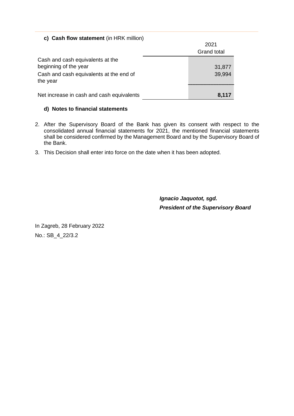# **c) Cash flow statement** (in HRK million)

|                                                                                                      | 2021<br><b>Grand total</b> |
|------------------------------------------------------------------------------------------------------|----------------------------|
| Cash and cash equivalents at the<br>beginning of the year<br>Cash and cash equivalents at the end of | 31,877<br>39,994           |
| the year<br>Net increase in cash and cash equivalents                                                | 8,117                      |

## **d) Notes to financial statements**

- 2. After the Supervisory Board of the Bank has given its consent with respect to the consolidated annual financial statements for 2021, the mentioned financial statements shall be considered confirmed by the Management Board and by the Supervisory Board of the Bank.
- 3. This Decision shall enter into force on the date when it has been adopted.

**Ignacio Jaquotot, sgd. President of the Supervisory Board** 

In Zagreb, 28 February 2022 No.: SB\_4\_22/3.2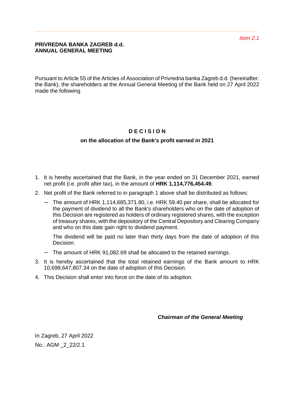Pursuant to Article 55 of the Articles of Association of Privredna banka Zagreb d.d. (hereinafter: the Bank), the shareholders at the Annual General Meeting of the Bank held on 27 April 2022 made the following

# **D E C I S I O N**

# **on the allocation of the Bank's profit earned in 2021**

- 1. It is hereby ascertained that the Bank, in the year ended on 31 December 2021, earned net profit (i.e. profit after tax), in the amount of **HRK 1,114,776,454.49**.
- 2. Net profit of the Bank referred to in paragraph 1 above shall be distributed as follows:
	- − The amount of HRK 1,114,685,371.80, i.e. HRK 59.40 per share, shall be allocated for the payment of dividend to all the Bank's shareholders who on the date of adoption of this Decision are registered as holders of ordinary registered shares, with the exception of treasury shares, with the depository of the Central Depository and Clearing Company and who on this date gain right to dividend payment.

The dividend will be paid no later than thirty days from the date of adoption of this Decision.

- − The amount of HRK 91,082.69 shall be allocated to the retained earnings.
- 3. It is hereby ascertained that the total retained earnings of the Bank amount to HRK 10,698,647,807.34 on the date of adoption of this Decision.
- 4. This Decision shall enter into force on the date of its adoption.

**Chairman of the General Meeting** 

In Zagreb, 27 April 2022 No.: AGM \_2\_22/2.1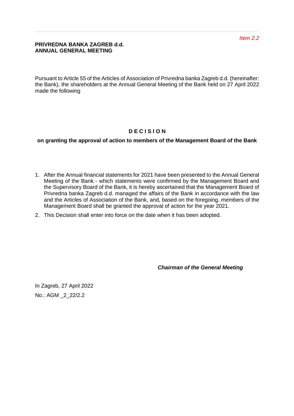Pursuant to Article 55 of the Articles of Association of Privredna banka Zagreb d.d. (hereinafter: the Bank), the shareholders at the Annual General Meeting of the Bank held on 27 April 2022 made the following

# **D E C I S I O N**

**on granting the approval of action to members of the Management Board of the Bank** 

- 1. After the Annual financial statements for 2021 have been presented to the Annual General Meeting of the Bank - which statements were confirmed by the Management Board and the Supervisory Board of the Bank, it is hereby ascertained that the Management Board of Privredna banka Zagreb d.d. managed the affairs of the Bank in accordance with the law and the Articles of Association of the Bank, and, based on the foregoing, members of the Management Board shall be granted the approval of action for the year 2021.
- 2. This Decision shall enter into force on the date when it has been adopted.

**Chairman of the General Meeting** 

In Zagreb, 27 April 2022 No.: AGM \_2\_22/2.2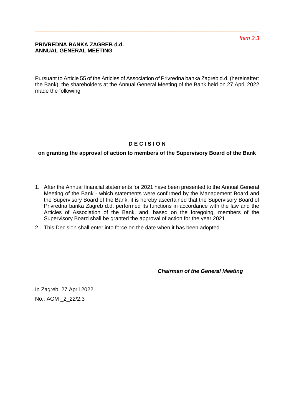Pursuant to Article 55 of the Articles of Association of Privredna banka Zagreb d.d. (hereinafter: the Bank), the shareholders at the Annual General Meeting of the Bank held on 27 April 2022 made the following

# **D E C I S I O N**

# **on granting the approval of action to members of the Supervisory Board of the Bank**

- 1. After the Annual financial statements for 2021 have been presented to the Annual General Meeting of the Bank - which statements were confirmed by the Management Board and the Supervisory Board of the Bank, it is hereby ascertained that the Supervisory Board of Privredna banka Zagreb d.d. performed its functions in accordance with the law and the Articles of Association of the Bank, and, based on the foregoing, members of the Supervisory Board shall be granted the approval of action for the year 2021.
- 2. This Decision shall enter into force on the date when it has been adopted.

**Chairman of the General Meeting** 

In Zagreb, 27 April 2022 No.: AGM \_2\_22/2.3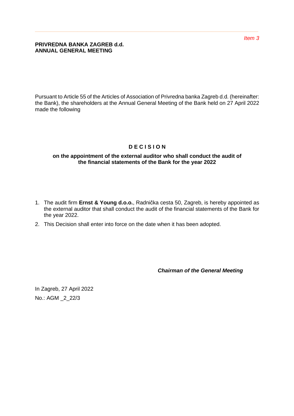Pursuant to Article 55 of the Articles of Association of Privredna banka Zagreb d.d. (hereinafter: the Bank), the shareholders at the Annual General Meeting of the Bank held on 27 April 2022 made the following

# **D E C I S I O N**

# **on the appointment of the external auditor who shall conduct the audit of the financial statements of the Bank for the year 2022**

- 1. The audit firm **Ernst & Young d.o.o.**, Radnička cesta 50, Zagreb, is hereby appointed as the external auditor that shall conduct the audit of the financial statements of the Bank for the year 2022.
- 2. This Decision shall enter into force on the date when it has been adopted.

**Chairman of the General Meeting** 

In Zagreb, 27 April 2022 No.: AGM \_2\_22/3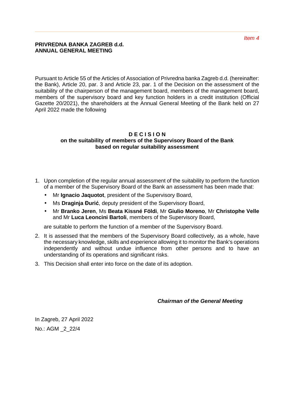Pursuant to Article 55 of the Articles of Association of Privredna banka Zagreb d.d. (hereinafter: the Bank), Article 20, par. 3 and Article 23, par. 1 of the Decision on the assessment of the suitability of the chairperson of the management board, members of the management board, members of the supervisory board and key function holders in a credit institution (Official Gazette 20/2021), the shareholders at the Annual General Meeting of the Bank held on 27 April 2022 made the following

### **D E C I S I O N on the suitability of members of the Supervisory Board of the Bank based on regular suitability assessment**

- 1. Upon completion of the regular annual assessment of the suitability to perform the function of a member of the Supervisory Board of the Bank an assessment has been made that:
	- Mr **Ignacio Jaquotot**, president of the Supervisory Board,
	- Ms **Draginja Đurić**, deputy president of the Supervisory Board,
	- Mr **Branko Jeren**, Ms **Beata Kissné Földi**, Mr **Giulio Moreno**, Mr **Christophe Velle** and Mr **Luca Leoncini Bartoli**, members of the Supervisory Board,

are suitable to perform the function of a member of the Supervisory Board.

- 2. It is assessed that the members of the Supervisory Board collectively, as a whole, have the necessary knowledge, skills and experience allowing it to monitor the Bank's operations independently and without undue influence from other persons and to have an understanding of its operations and significant risks.
- 3. This Decision shall enter into force on the date of its adoption.

**Chairman of the General Meeting** 

In Zagreb, 27 April 2022 No.: AGM \_2\_22/4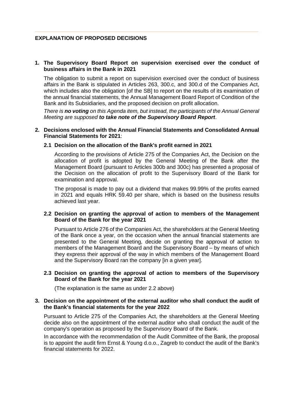# **EXPLANATION OF PROPOSED DECISIONS**

### **1. The Supervisory Board Report on supervision exercised over the conduct of business affairs in the Bank in 2021**

The obligation to submit a report on supervision exercised over the conduct of business affairs in the Bank is stipulated in Articles 263, 300.c, and 300.d of the Companies Act, which includes also the obligation [of the SB] to report on the results of its examination of the annual financial statements, the Annual Management Board Report of Condition of the Bank and its Subsidiaries, and the proposed decision on profit allocation.

There is **no voting** on this Agenda item, but instead, the participants of the Annual General Meeting are supposed **to take note of the Supervisory Board Report**.

#### **2. Decisions enclosed with the Annual Financial Statements and Consolidated Annual Financial Statements for 2021**:

#### **2.1 Decision on the allocation of the Bank's profit earned in 2021**

According to the provisions of Article 275 of the Companies Act, the Decision on the allocation of profit is adopted by the General Meeting of the Bank after the Management Board (pursuant to Articles 300b and 300c) has presented a proposal of the Decision on the allocation of profit to the Supervisory Board of the Bank for examination and approval.

The proposal is made to pay out a dividend that makes 99.99% of the profits earned in 2021 and equals HRK 59.40 per share, which is based on the business results achieved last year.

#### **2.2 Decision on granting the approval of action to members of the Management Board of the Bank for the year 2021**

Pursuant to Article 276 of the Companies Act, the shareholders at the General Meeting of the Bank once a year, on the occasion when the annual financial statements are presented to the General Meeting, decide on granting the approval of action to members of the Management Board and the Supervisory Board – by means of which they express their approval of the way in which members of the Management Board and the Supervisory Board ran the company [in a given year].

#### **2.3 Decision on granting the approval of action to members of the Supervisory Board of the Bank for the year 2021**

(The explanation is the same as under 2.2 above)

### **3. Decision on the appointment of the external auditor who shall conduct the audit of the Bank's financial statements for the year 2022**

Pursuant to Article 275 of the Companies Act, the shareholders at the General Meeting decide also on the appointment of the external auditor who shall conduct the audit of the company's operation as proposed by the Supervisory Board of the Bank.

In accordance with the recommendation of the Audit Committee of the Bank, the proposal is to appoint the audit firm Ernst & Young d.o.o., Zagreb to conduct the audit of the Bank's financial statements for 2022.